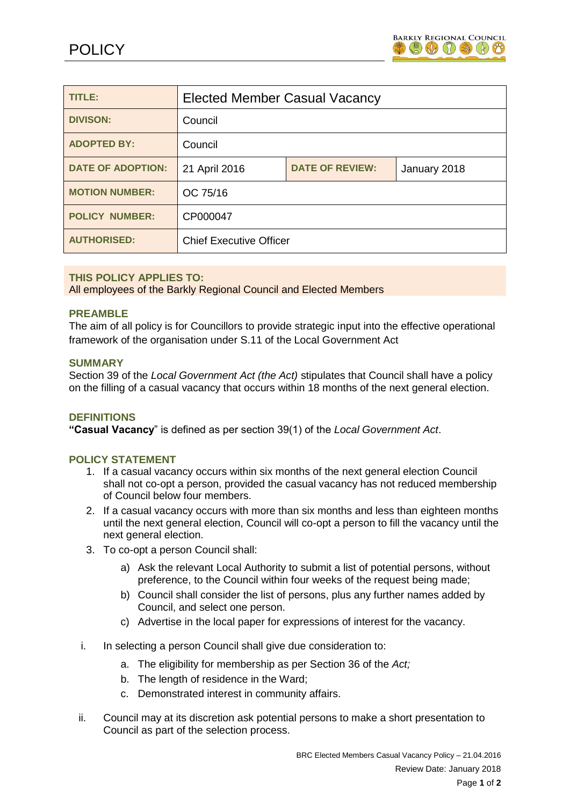

| TITLE:                   | <b>Elected Member Casual Vacancy</b> |                        |              |
|--------------------------|--------------------------------------|------------------------|--------------|
| <b>DIVISON:</b>          | Council                              |                        |              |
| <b>ADOPTED BY:</b>       | Council                              |                        |              |
| <b>DATE OF ADOPTION:</b> | 21 April 2016                        | <b>DATE OF REVIEW:</b> | January 2018 |
| <b>MOTION NUMBER:</b>    | OC 75/16                             |                        |              |
| <b>POLICY NUMBER:</b>    | CP000047                             |                        |              |
| <b>AUTHORISED:</b>       | <b>Chief Executive Officer</b>       |                        |              |

## **THIS POLICY APPLIES TO:**

All employees of the Barkly Regional Council and Elected Members

## **PREAMBLE**

The aim of all policy is for Councillors to provide strategic input into the effective operational framework of the organisation under S.11 of the Local Government Act

#### **SUMMARY**

Section 39 of the *Local Government Act (the Act)* stipulates that Council shall have a policy on the filling of a casual vacancy that occurs within 18 months of the next general election.

#### **DEFINITIONS**

**"Casual Vacancy**" is defined as per section 39(1) of the *Local Government Act*.

#### **POLICY STATEMENT**

- 1. If a casual vacancy occurs within six months of the next general election Council shall not co-opt a person, provided the casual vacancy has not reduced membership of Council below four members.
- 2. If a casual vacancy occurs with more than six months and less than eighteen months until the next general election, Council will co-opt a person to fill the vacancy until the next general election.
- 3. To co-opt a person Council shall:
	- a) Ask the relevant Local Authority to submit a list of potential persons, without preference, to the Council within four weeks of the request being made;
	- b) Council shall consider the list of persons, plus any further names added by Council, and select one person.
	- c) Advertise in the local paper for expressions of interest for the vacancy.
- i. In selecting a person Council shall give due consideration to:
	- a. The eligibility for membership as per Section 36 of the *Act;*
	- b. The length of residence in the Ward;
	- c. Demonstrated interest in community affairs.
- ii. Council may at its discretion ask potential persons to make a short presentation to Council as part of the selection process.